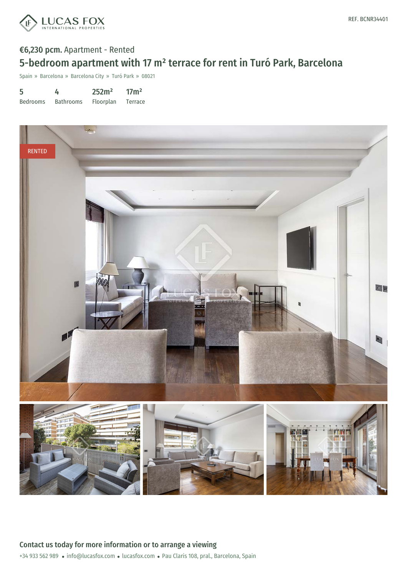

## €6,230 pcm. Apartment - Rented 5-bedroom apartment with 17 m² terrace for rent in Turó Park, Barcelona

Spain » Barcelona » Barcelona City » Turó Park » 08021

| 5               | 4                | 252m <sup>2</sup> | 17 <sup>m²</sup> |
|-----------------|------------------|-------------------|------------------|
| <b>Bedrooms</b> | <b>Bathrooms</b> | Floorplan         | Terrace          |

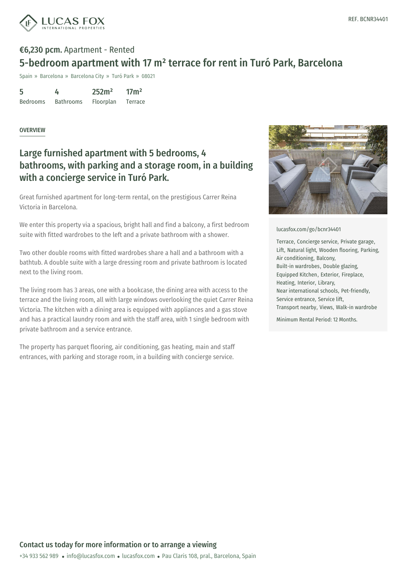



# €6,230 pcm. Apartment - Rented 5-bedroom apartment with 17 m² terrace for rent in Turó Park, Barcelona

Spain » Barcelona » Barcelona City » Turó Park » 08021

| 5               | 4                | 252m <sup>2</sup> | 17 <sup>m²</sup> |
|-----------------|------------------|-------------------|------------------|
| <b>Bedrooms</b> | <b>Bathrooms</b> | Floorplan         | Terrace          |

### **OVERVIEW**

## Large furnished apartment with 5 bedrooms, 4 bathrooms, with parking and a storage room, in a building with a concierge service in Turó Park.

Great furnished apartment for long-term rental, on the prestigious Carrer Reina Victoria in Barcelona.

We enter this property via a spacious, bright hall and find a balcony, a first bedroom suite with fitted wardrobes to the left and a private bathroom with a shower.

Two other double rooms with fitted wardrobes share a hall and a bathroom with a bathtub. A double suite with a large dressing room and private bathroom is located next to the living room.

The living room has 3 areas, one with a bookcase, the dining area with access to the terrace and the living room, all with large windows overlooking the quiet Carrer Reina Victoria. The kitchen with a dining area is equipped with appliances and a gas stove and has a practical laundry room and with the staff area, with 1 single bedroom with private bathroom and a service entrance.

The property has parquet flooring, air conditioning, gas heating, main and staff entrances, with parking and storage room, in a building with concierge service.



#### [lucasfox.com/go/bcnr34401](https://www.lucasfox.com/go/bcnr34401)

Terrace, Concierge service, Private garage, Lift, Natural light, Wooden flooring, Parking, Air conditioning, Balcony, Built-in wardrobes, Double glazing, Equipped Kitchen, Exterior, Fireplace, Heating, Interior, Library, Near international schools, Pet-friendly, Service entrance, Service lift, Transport nearby, Views, Walk-in wardrobe

Minimum Rental Period: 12 Months.